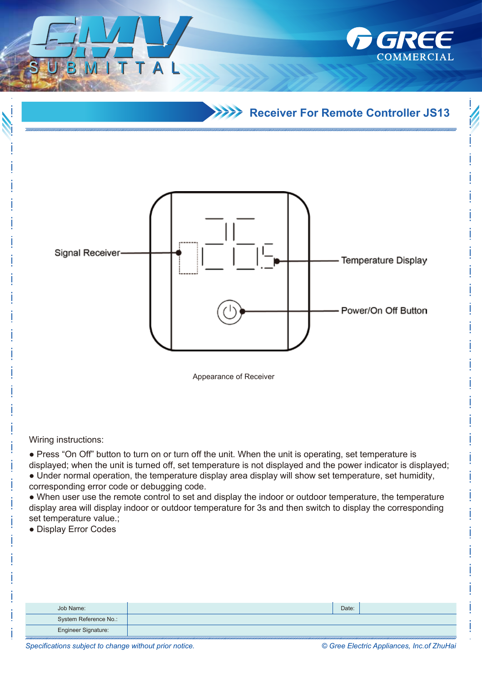**Receiver For Remote Controller JS13** 

GREE



Wiring instructions:

● Press "On Off" button to turn on or turn off the unit. When the unit is operating, set temperature is displayed; when the unit is turned off, set temperature is not displayed and the power indicator is displayed;

● Under normal operation, the temperature display area display will show set temperature, set humidity, corresponding error code or debugging code.

• When user use the remote control to set and display the indoor or outdoor temperature, the temperature display area will display indoor or outdoor temperature for 3s and then switch to display the corresponding set temperature value.;

● Display Error Codes

| Job Name:             | Date: |  |
|-----------------------|-------|--|
| System Reference No.: |       |  |
| Engineer Signature:   |       |  |